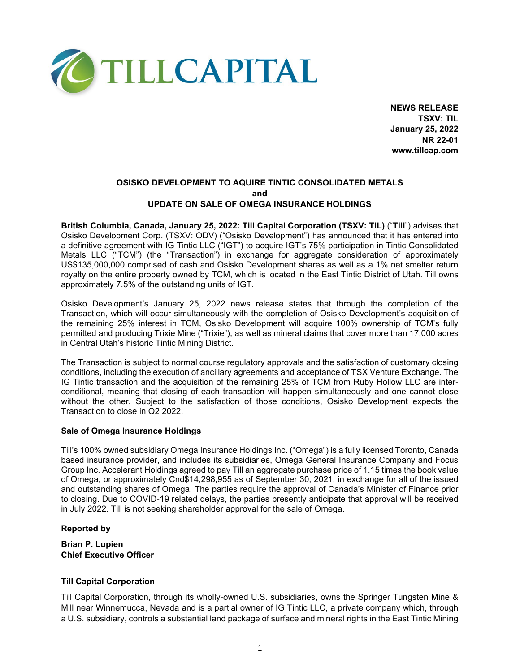

**NEWS RELEASE TSXV: TIL January 25, 2022 NR 22-01 www.tillcap.com**

### **OSISKO DEVELOPMENT TO AQUIRE TINTIC CONSOLIDATED METALS and UPDATE ON SALE OF OMEGA INSURANCE HOLDINGS**

**British Columbia, Canada, January 25, 2022: Till Capital Corporation (TSXV: TIL)** ("**Till**") advises that Osisko Development Corp. (TSXV: ODV) ("Osisko Development") has announced that it has entered into a definitive agreement with IG Tintic LLC ("IGT") to acquire IGT's 75% participation in Tintic Consolidated Metals LLC ("TCM") (the "Transaction") in exchange for aggregate consideration of approximately US\$135,000,000 comprised of cash and Osisko Development shares as well as a 1% net smelter return royalty on the entire property owned by TCM, which is located in the East Tintic District of Utah. Till owns approximately 7.5% of the outstanding units of IGT.

Osisko Development's January 25, 2022 news release states that through the completion of the Transaction, which will occur simultaneously with the completion of Osisko Development's acquisition of the remaining 25% interest in TCM, Osisko Development will acquire 100% ownership of TCM's fully permitted and producing Trixie Mine ("Trixie"), as well as mineral claims that cover more than 17,000 acres in Central Utah's historic Tintic Mining District.

The Transaction is subject to normal course regulatory approvals and the satisfaction of customary closing conditions, including the execution of ancillary agreements and acceptance of TSX Venture Exchange. The IG Tintic transaction and the acquisition of the remaining 25% of TCM from Ruby Hollow LLC are interconditional, meaning that closing of each transaction will happen simultaneously and one cannot close without the other. Subject to the satisfaction of those conditions, Osisko Development expects the Transaction to close in Q2 2022.

#### **Sale of Omega Insurance Holdings**

Till's 100% owned subsidiary Omega Insurance Holdings Inc. ("Omega") is a fully licensed Toronto, Canada based insurance provider, and includes its subsidiaries, Omega General Insurance Company and Focus Group Inc. Accelerant Holdings agreed to pay Till an aggregate purchase price of 1.15 times the book value of Omega, or approximately Cnd\$14,298,955 as of September 30, 2021, in exchange for all of the issued and outstanding shares of Omega. The parties require the approval of Canada's Minister of Finance prior to closing. Due to COVID-19 related delays, the parties presently anticipate that approval will be received in July 2022. Till is not seeking shareholder approval for the sale of Omega.

#### **Reported by**

**Brian P. Lupien Chief Executive Officer**

#### **Till Capital Corporation**

Till Capital Corporation, through its wholly-owned U.S. subsidiaries, owns the Springer Tungsten Mine & Mill near Winnemucca, Nevada and is a partial owner of IG Tintic LLC, a private company which, through a U.S. subsidiary, controls a substantial land package of surface and mineral rights in the East Tintic Mining